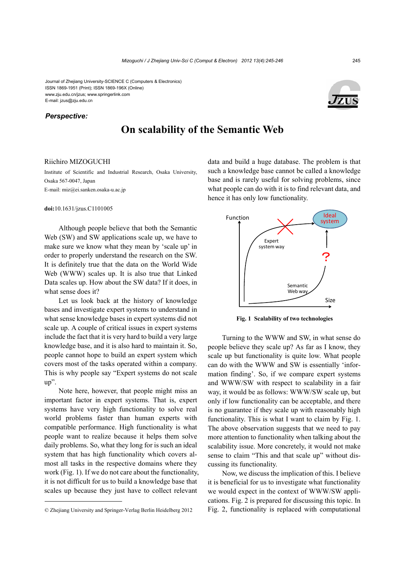Journal of Zhejiang University-SCIENCE C (Computers & Electronics) ISSN 1869-1951 (Print); ISSN 1869-196X (Online) www.zju.edu.cn/jzus; www.springerlink.com E-mail: jzus@zju.edu.cn

### *Perspective:*

# **On scalability of the Semantic Web**

### Riichiro MIZOGUCHI

Institute of Scientific and Industrial Research, Osaka University, Osaka 567-0047, Japan E-mail: miz@ei.sanken.osaka-u.ac.jp

#### **doi:**10.1631/jzus.C1101005

Although people believe that both the Semantic Web (SW) and SW applications scale up, we have to make sure we know what they mean by 'scale up' in order to properly understand the research on the SW. It is definitely true that the data on the World Wide Web (WWW) scales up. It is also true that Linked Data scales up. How about the SW data? If it does, in what sense does it?

Let us look back at the history of knowledge bases and investigate expert systems to understand in what sense knowledge bases in expert systems did not scale up. A couple of critical issues in expert systems include the fact that it is very hard to build a very large knowledge base, and it is also hard to maintain it. So, people cannot hope to build an expert system which covers most of the tasks operated within a company. This is why people say "Expert systems do not scale up".

Note here, however, that people might miss an important factor in expert systems. That is, expert systems have very high functionality to solve real world problems faster than human experts with compatible performance. High functionality is what people want to realize because it helps them solve daily problems. So, what they long for is such an ideal system that has high functionality which covers almost all tasks in the respective domains where they work (Fig. 1). If we do not care about the functionality, it is not difficult for us to build a knowledge base that scales up because they just have to collect relevant

data and build a huge database. The problem is that such a knowledge base cannot be called a knowledge base and is rarely useful for solving problems, since what people can do with it is to find relevant data, and hence it has only low functionality.



**Fig. 1 Scalability of two technologies**

Turning to the WWW and SW, in what sense do people believe they scale up? As far as I know, they scale up but functionality is quite low. What people can do with the WWW and SW is essentially 'information finding'. So, if we compare expert systems and WWW/SW with respect to scalability in a fair way, it would be as follows: WWW/SW scale up, but only if low functionality can be acceptable, and there is no guarantee if they scale up with reasonably high functionality. This is what I want to claim by Fig. 1. The above observation suggests that we need to pay more attention to functionality when talking about the scalability issue. More concretely, it would not make sense to claim "This and that scale up" without discussing its functionality.

Now, we discuss the implication of this. I believe it is beneficial for us to investigate what functionality we would expect in the context of WWW/SW applications. Fig. 2 is prepared for discussing this topic. In Fig. 2, functionality is replaced with computational





<sup>©</sup> Zhejiang University and Springer-Verlag Berlin Heidelberg 2012